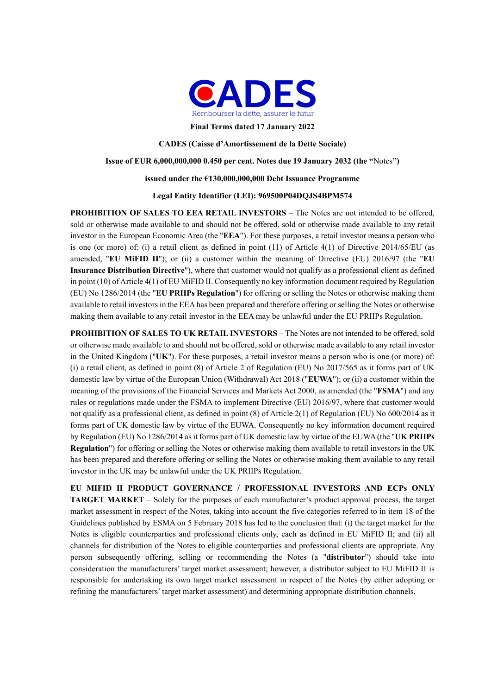

**Final Terms dated 17 January 2022** 

**CADES (Caisse d'Amortissement de la Dette Sociale)** 

### **Issue of EUR 6,000,000,000 0.450 per cent. Notes due 19 January 2032 (the "**Notes**")**

### **issued under the €130,000,000,000 Debt Issuance Programme**

### **Legal Entity Identifier (LEI): 969500P04DQJS4BPM574**

**PROHIBITION OF SALES TO EEA RETAIL INVESTORS** – The Notes are not intended to be offered, sold or otherwise made available to and should not be offered, sold or otherwise made available to any retail investor in the European Economic Area (the "**EEA**"). For these purposes, a retail investor means a person who is one (or more) of: (i) a retail client as defined in point (11) of Article 4(1) of Directive 2014/65/EU (as amended, "**EU MiFID II**"); or (ii) a customer within the meaning of Directive (EU) 2016/97 (the "**EU Insurance Distribution Directive**"), where that customer would not qualify as a professional client as defined in point (10) of Article 4(1) of EU MiFID II. Consequently no key information document required by Regulation (EU) No 1286/2014 (the "**EU PRIIPs Regulation**") for offering or selling the Notes or otherwise making them available to retail investors in the EEA has been prepared and therefore offering or selling the Notes or otherwise making them available to any retail investor in the EEA may be unlawful under the EU PRIIPs Regulation.

**PROHIBITION OF SALES TO UK RETAIL INVESTORS** – The Notes are not intended to be offered, sold or otherwise made available to and should not be offered, sold or otherwise made available to any retail investor in the United Kingdom ("**UK**"). For these purposes, a retail investor means a person who is one (or more) of: (i) a retail client, as defined in point (8) of Article 2 of Regulation (EU) No 2017/565 as it forms part of UK domestic law by virtue of the European Union (Withdrawal) Act 2018 ("**EUWA**"); or (ii) a customer within the meaning of the provisions of the Financial Services and Markets Act 2000, as amended (the "**FSMA**") and any rules or regulations made under the FSMA to implement Directive (EU) 2016/97, where that customer would not qualify as a professional client, as defined in point (8) of Article 2(1) of Regulation (EU) No 600/2014 as it forms part of UK domestic law by virtue of the EUWA. Consequently no key information document required by Regulation (EU) No 1286/2014 as it forms part of UK domestic law by virtue of the EUWA (the "**UK PRIIPs Regulation**") for offering or selling the Notes or otherwise making them available to retail investors in the UK has been prepared and therefore offering or selling the Notes or otherwise making them available to any retail investor in the UK may be unlawful under the UK PRIIPs Regulation.

**EU MIFID II PRODUCT GOVERNANCE / PROFESSIONAL INVESTORS AND ECPs ONLY TARGET MARKET** – Solely for the purposes of each manufacturer's product approval process, the target market assessment in respect of the Notes, taking into account the five categories referred to in item 18 of the Guidelines published by ESMA on 5 February 2018 has led to the conclusion that: (i) the target market for the Notes is eligible counterparties and professional clients only, each as defined in EU MiFID II; and (ii) all channels for distribution of the Notes to eligible counterparties and professional clients are appropriate. Any person subsequently offering, selling or recommending the Notes (a "**distributor**") should take into consideration the manufacturers' target market assessment; however, a distributor subject to EU MiFID II is responsible for undertaking its own target market assessment in respect of the Notes (by either adopting or refining the manufacturers' target market assessment) and determining appropriate distribution channels.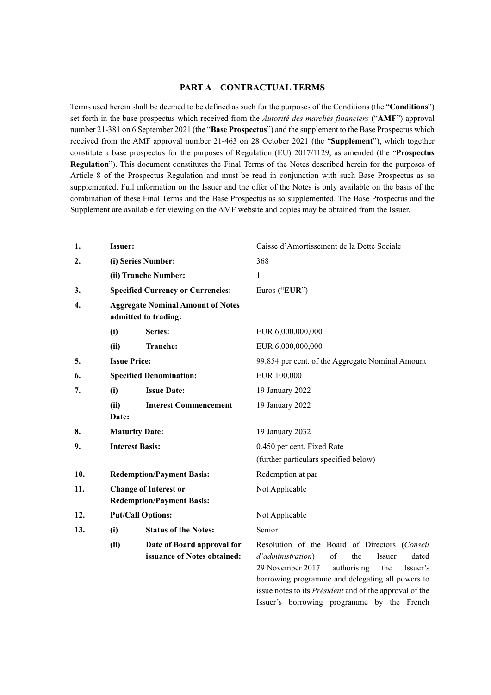## **PART A – CONTRACTUAL TERMS**

Terms used herein shall be deemed to be defined as such for the purposes of the Conditions (the "**Conditions**") set forth in the base prospectus which received from the *Autorité des marchés financiers* ("**AMF**") approval number 21-381 on 6 September 2021 (the "**Base Prospectus**") and the supplement to the Base Prospectus which received from the AMF approval number 21-463 on 28 October 2021 (the "**Supplement**"), which together constitute a base prospectus for the purposes of Regulation (EU) 2017/1129, as amended (the "**Prospectus Regulation**"). This document constitutes the Final Terms of the Notes described herein for the purposes of Article 8 of the Prospectus Regulation and must be read in conjunction with such Base Prospectus as so supplemented. Full information on the Issuer and the offer of the Notes is only available on the basis of the combination of these Final Terms and the Base Prospectus as so supplemented. The Base Prospectus and the Supplement are available for viewing on the AMF website and copies may be obtained from the Issuer.

| 1.  | <b>Issuer:</b>            |                                                                  | Caisse d'Amortissement de la Dette Sociale                                                                                                                                                                   |
|-----|---------------------------|------------------------------------------------------------------|--------------------------------------------------------------------------------------------------------------------------------------------------------------------------------------------------------------|
| 2.  | (i) Series Number:        |                                                                  | 368                                                                                                                                                                                                          |
|     |                           | (ii) Tranche Number:                                             | 1                                                                                                                                                                                                            |
| 3.  |                           | <b>Specified Currency or Currencies:</b>                         | Euros ("EUR")                                                                                                                                                                                                |
| 4.  |                           | <b>Aggregate Nominal Amount of Notes</b><br>admitted to trading: |                                                                                                                                                                                                              |
|     | (i)                       | Series:                                                          | EUR 6,000,000,000                                                                                                                                                                                            |
|     | (ii)                      | Tranche:                                                         | EUR 6,000,000,000                                                                                                                                                                                            |
| 5.  | <b>Issue Price:</b>       |                                                                  | 99.854 per cent. of the Aggregate Nominal Amount                                                                                                                                                             |
| 6.  |                           | <b>Specified Denomination:</b>                                   | EUR 100,000                                                                                                                                                                                                  |
| 7.  | <b>Issue Date:</b><br>(i) |                                                                  | 19 January 2022                                                                                                                                                                                              |
|     | (ii)<br>Date:             | <b>Interest Commencement</b>                                     | 19 January 2022                                                                                                                                                                                              |
| 8.  | <b>Maturity Date:</b>     |                                                                  | 19 January 2032                                                                                                                                                                                              |
| 9.  |                           | <b>Interest Basis:</b>                                           | 0.450 per cent. Fixed Rate                                                                                                                                                                                   |
|     |                           |                                                                  | (further particulars specified below)                                                                                                                                                                        |
| 10. |                           | <b>Redemption/Payment Basis:</b>                                 | Redemption at par                                                                                                                                                                                            |
| 11. |                           | <b>Change of Interest or</b><br><b>Redemption/Payment Basis:</b> | Not Applicable                                                                                                                                                                                               |
| 12. |                           | <b>Put/Call Options:</b>                                         | Not Applicable                                                                                                                                                                                               |
| 13. | (i)                       | <b>Status of the Notes:</b>                                      | Senior                                                                                                                                                                                                       |
|     | (ii)                      | Date of Board approval for<br>issuance of Notes obtained:        | Resolution of the Board of Directors (Conseil<br>d'administration)<br>of<br>the<br>Issuer<br>dated<br>29 November 2017<br>authorising<br>the<br>Issuer's<br>borrowing programme and delegating all powers to |

issue notes to its *Président* and of the approval of the Issuer's borrowing programme by the French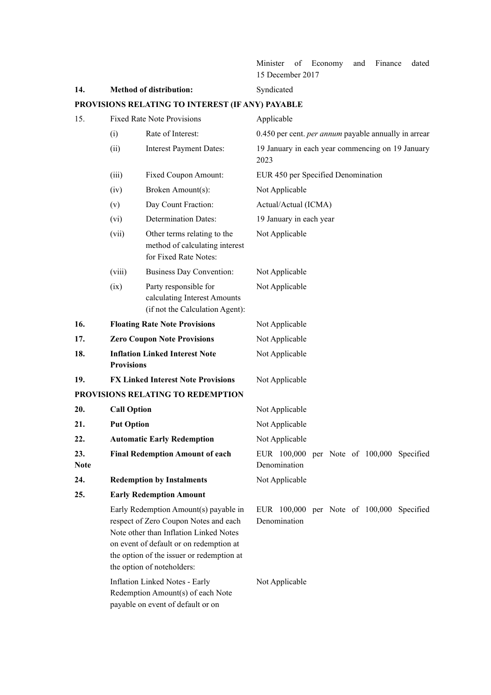Minister of Economy and Finance dated 15 December 2017

14. Method of distribution: Syndicated **PROVISIONS RELATING TO INTEREST (IF ANY) PAYABLE**  15. Fixed Rate Note Provisions Applicable (i) Rate of Interest: 0.450 per cent. *per annum* payable annually in arrear (ii) Interest Payment Dates: 19 January in each year commencing on 19 January 2023 (iii) Fixed Coupon Amount: EUR 450 per Specified Denomination (iv) Broken Amount(s): Not Applicable (v) Day Count Fraction: Actual/Actual (ICMA) (vi) Determination Dates: 19 January in each year (vii) Other terms relating to the method of calculating interest for Fixed Rate Notes: Not Applicable (viii) Business Day Convention: Not Applicable (ix) Party responsible for calculating Interest Amounts (if not the Calculation Agent): Not Applicable 16. Floating Rate Note Provisions Not Applicable 17. **Lero Coupon Note Provisions** Not Applicable **18. Inflation Linked Interest Note Provisions**  Not Applicable 19. **FX Linked Interest Note Provisions** Not Applicable **PROVISIONS RELATING TO REDEMPTION 20.** Call Option Not Applicable **21.** Put Option Not Applicable 22. **Automatic Early Redemption** Not Applicable **23. Final Redemption Amount of each Note**  EUR 100,000 per Note of 100,000 Specified Denomination 24. Redemption by Instalments Not Applicable **25. Early Redemption Amount**  Early Redemption Amount(s) payable in respect of Zero Coupon Notes and each Note other than Inflation Linked Notes on event of default or on redemption at the option of the issuer or redemption at the option of noteholders: EUR 100,000 per Note of 100,000 Specified Denomination Inflation Linked Notes - Early Not Applicable

> Redemption Amount(s) of each Note payable on event of default or on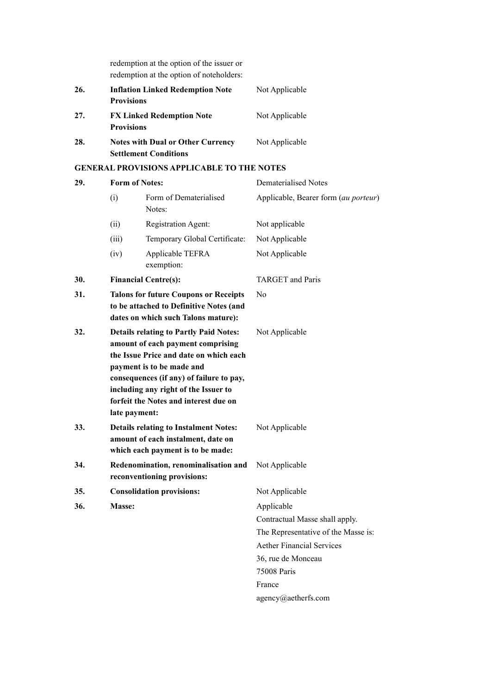redemption at the option of the issuer or redemption at the option of noteholders:

| 26. | <b>Inflation Linked Redemption Note</b>  | Not Applicable |
|-----|------------------------------------------|----------------|
|     | <b>Provisions</b>                        |                |
| 27. | <b>FX Linked Redemption Note</b>         | Not Applicable |
|     | <b>Provisions</b>                        |                |
| 28. | <b>Notes with Dual or Other Currency</b> | Not Applicable |
|     | <b>Settlement Conditions</b>             |                |

# **GENERAL PROVISIONS APPLICABLE TO THE NOTES**

| 29. |                                                                                                                                                                                                                                                                                                         | <b>Form of Notes:</b>                                                                                                   | <b>Dematerialised Notes</b>          |
|-----|---------------------------------------------------------------------------------------------------------------------------------------------------------------------------------------------------------------------------------------------------------------------------------------------------------|-------------------------------------------------------------------------------------------------------------------------|--------------------------------------|
|     | (i)                                                                                                                                                                                                                                                                                                     | Form of Dematerialised<br>Notes:                                                                                        | Applicable, Bearer form (au porteur) |
|     | (ii)                                                                                                                                                                                                                                                                                                    | Registration Agent:                                                                                                     | Not applicable                       |
|     | (iii)                                                                                                                                                                                                                                                                                                   | Temporary Global Certificate:                                                                                           | Not Applicable                       |
|     | (iv)                                                                                                                                                                                                                                                                                                    | Applicable TEFRA<br>exemption:                                                                                          | Not Applicable                       |
| 30. |                                                                                                                                                                                                                                                                                                         | <b>Financial Centre(s):</b>                                                                                             | <b>TARGET</b> and Paris              |
| 31. | <b>Talons for future Coupons or Receipts</b><br>to be attached to Definitive Notes (and<br>dates on which such Talons mature):                                                                                                                                                                          |                                                                                                                         | N <sub>0</sub>                       |
| 32. | <b>Details relating to Partly Paid Notes:</b><br>amount of each payment comprising<br>the Issue Price and date on which each<br>payment is to be made and<br>consequences (if any) of failure to pay,<br>including any right of the Issuer to<br>forfeit the Notes and interest due on<br>late payment: |                                                                                                                         | Not Applicable                       |
| 33. |                                                                                                                                                                                                                                                                                                         | <b>Details relating to Instalment Notes:</b><br>amount of each instalment, date on<br>which each payment is to be made: | Not Applicable                       |
| 34. |                                                                                                                                                                                                                                                                                                         | Redenomination, renominalisation and<br>reconventioning provisions:                                                     | Not Applicable                       |
| 35. |                                                                                                                                                                                                                                                                                                         | <b>Consolidation provisions:</b>                                                                                        | Not Applicable                       |
| 36. | <b>Masse:</b>                                                                                                                                                                                                                                                                                           |                                                                                                                         | Applicable                           |
|     |                                                                                                                                                                                                                                                                                                         |                                                                                                                         | Contractual Masse shall apply.       |
|     |                                                                                                                                                                                                                                                                                                         |                                                                                                                         | The Representative of the Masse is:  |
|     |                                                                                                                                                                                                                                                                                                         |                                                                                                                         | <b>Aether Financial Services</b>     |
|     |                                                                                                                                                                                                                                                                                                         |                                                                                                                         | 36, rue de Monceau                   |
|     |                                                                                                                                                                                                                                                                                                         |                                                                                                                         | <b>75008 Paris</b>                   |
|     |                                                                                                                                                                                                                                                                                                         |                                                                                                                         | France                               |

agency@aetherfs.com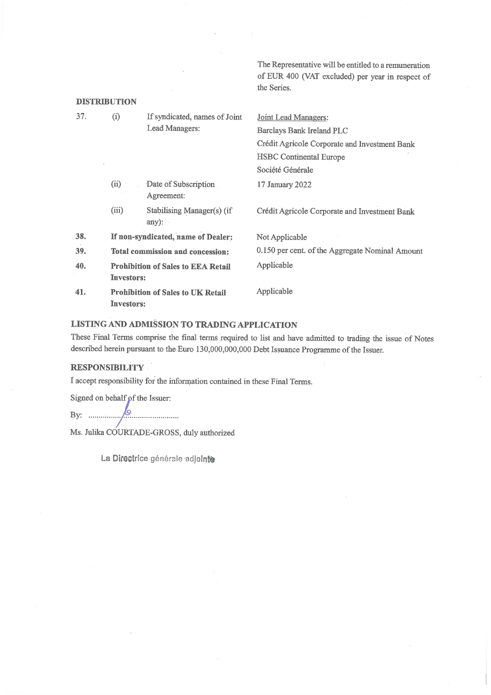The Representative will be entitled to a remuneration of EUR 400 (VAT excluded) per year in respect of the Series.

| <b>DISTRIBUTION</b> |                   |                                           |                                                 |
|---------------------|-------------------|-------------------------------------------|-------------------------------------------------|
| 37.                 | (i)               | If syndicated, names of Joint             | Joint Lead Managers:                            |
|                     |                   | Lead Managers:                            | <b>Barclays Bank Ireland PLC</b>                |
|                     |                   |                                           | Crédit Agricole Corporate and Investment Bank   |
|                     |                   |                                           | <b>HSBC</b> Continental Europe                  |
|                     |                   |                                           | Société Générale                                |
|                     | (ii)              | Date of Subscription<br>Agreement:        | 17 January 2022                                 |
|                     | (iii)             | Stabilising Manager(s) (if<br>any):       | Crédit Agricole Corporate and Investment Bank   |
| 38.                 |                   | If non-syndicated, name of Dealer:        | Not Applicable                                  |
| 39.                 |                   | Total commission and concession:          | 0.150 per cent. of the Aggregate Nominal Amount |
| 40.                 | <b>Investors:</b> | <b>Prohibition of Sales to EEA Retail</b> | Applicable                                      |
| 41.                 | <b>Investors:</b> | <b>Prohibition of Sales to UK Retail</b>  | Applicable                                      |

# LISTING AND ADMISSION TO TRADING APPLICATION

These Final Terms comprise the final terms required to list and have admitted to trading the issue of Notes described herein pursuant to the Euro 130,000,000,000 Debt Issuance Programme of the Issuer.

# **RESPONSIBILITY**

I accept responsibility for the information contained in these Final Terms.

Signed on behalf of the Issuer:

 $\beta$ 

Ms. Julika COURTADE-GROSS, duly authorized

La Directrice générale adjointe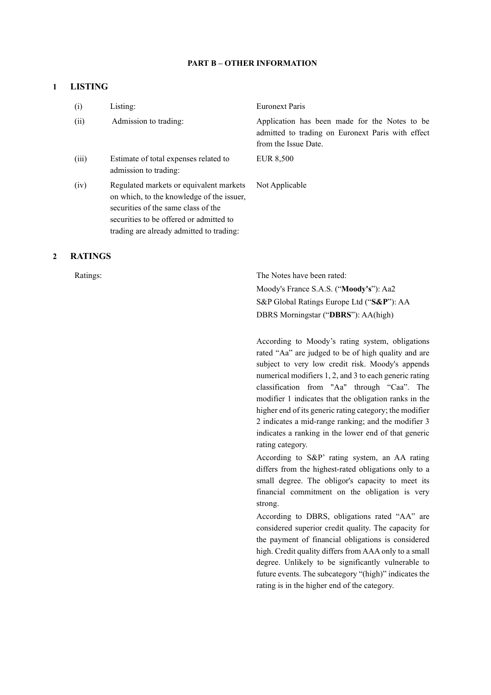### **PART B – OTHER INFORMATION**

# **1 LISTING**

| (i)   | Listing:                                                                                                                                                                                                           | <b>Euronext Paris</b>                                                                                                      |
|-------|--------------------------------------------------------------------------------------------------------------------------------------------------------------------------------------------------------------------|----------------------------------------------------------------------------------------------------------------------------|
| (ii)  | Admission to trading:                                                                                                                                                                                              | Application has been made for the Notes to be<br>admitted to trading on Euronext Paris with effect<br>from the Issue Date. |
| (iii) | Estimate of total expenses related to<br>admission to trading:                                                                                                                                                     | EUR 8,500                                                                                                                  |
| (iv)  | Regulated markets or equivalent markets<br>on which, to the knowledge of the issuer,<br>securities of the same class of the<br>securities to be offered or admitted to<br>trading are already admitted to trading: | Not Applicable                                                                                                             |

### **2 RATINGS**

Ratings: The Notes have been rated: Moody's France S.A.S. ("**Moody's**"): Aa2 S&P Global Ratings Europe Ltd ("**S&P**"): AA DBRS Morningstar ("**DBRS**"): AA(high)

> According to Moody's rating system, obligations rated "Aa" are judged to be of high quality and are subject to very low credit risk. Moody's appends numerical modifiers 1, 2, and 3 to each generic rating classification from "Aa" through "Caa". The modifier 1 indicates that the obligation ranks in the higher end of its generic rating category; the modifier 2 indicates a mid-range ranking; and the modifier 3 indicates a ranking in the lower end of that generic rating category.

> According to S&P' rating system, an AA rating differs from the highest-rated obligations only to a small degree. The obligor's capacity to meet its financial commitment on the obligation is very strong.

> According to DBRS, obligations rated "AA" are considered superior credit quality. The capacity for the payment of financial obligations is considered high. Credit quality differs from AAA only to a small degree. Unlikely to be significantly vulnerable to future events. The subcategory "(high)" indicates the rating is in the higher end of the category.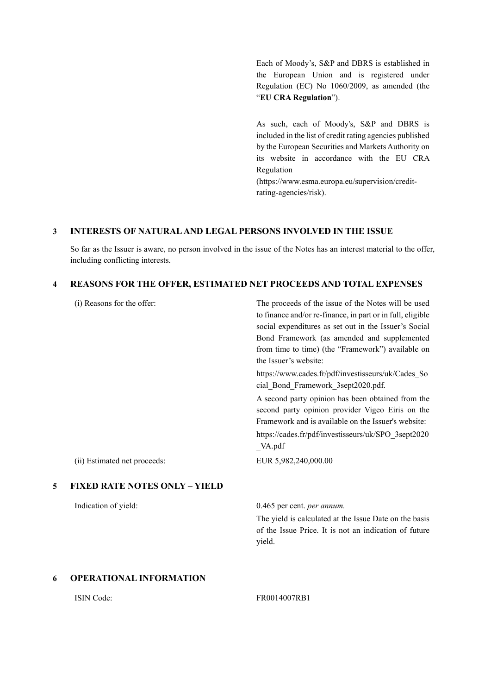Each of Moody's, S&P and DBRS is established in the European Union and is registered under Regulation (EC) No 1060/2009, as amended (the "**EU CRA Regulation**").

As such, each of Moody's, S&P and DBRS is included in the list of credit rating agencies published by the European Securities and Markets Authority on its website in accordance with the EU CRA Regulation

(https://www.esma.europa.eu/supervision/creditrating-agencies/risk).

# **3 INTERESTS OF NATURAL AND LEGAL PERSONS INVOLVED IN THE ISSUE**

So far as the Issuer is aware, no person involved in the issue of the Notes has an interest material to the offer, including conflicting interests.

### **4 REASONS FOR THE OFFER, ESTIMATED NET PROCEEDS AND TOTAL EXPENSES**

|   | (i) Reasons for the offer:           | The proceeds of the issue of the Notes will be used<br>to finance and/or re-finance, in part or in full, eligible<br>social expenditures as set out in the Issuer's Social<br>Bond Framework (as amended and supplemented<br>from time to time) (the "Framework") available on<br>the Issuer's website:<br>https://www.cades.fr/pdf/investisseurs/uk/Cades_So<br>cial Bond Framework 3sept2020.pdf. |
|---|--------------------------------------|-----------------------------------------------------------------------------------------------------------------------------------------------------------------------------------------------------------------------------------------------------------------------------------------------------------------------------------------------------------------------------------------------------|
|   |                                      | A second party opinion has been obtained from the<br>second party opinion provider Vigeo Eiris on the<br>Framework and is available on the Issuer's website:<br>https://cades.fr/pdf/investisseurs/uk/SPO 3sept2020<br>$\mathsf{A}$ .pdf                                                                                                                                                            |
|   | (ii) Estimated net proceeds:         | EUR 5,982,240,000.00                                                                                                                                                                                                                                                                                                                                                                                |
| 5 | <b>FIXED RATE NOTES ONLY - YIELD</b> |                                                                                                                                                                                                                                                                                                                                                                                                     |
|   | Indication of yield:                 | 0.465 per cent. per annum.                                                                                                                                                                                                                                                                                                                                                                          |
|   |                                      | The yield is calculated at the Issue Date on the basis<br>of the Issue Price. It is not an indication of future<br>yield.                                                                                                                                                                                                                                                                           |

# **6 OPERATIONAL INFORMATION**

### ISIN Code: FR0014007RB1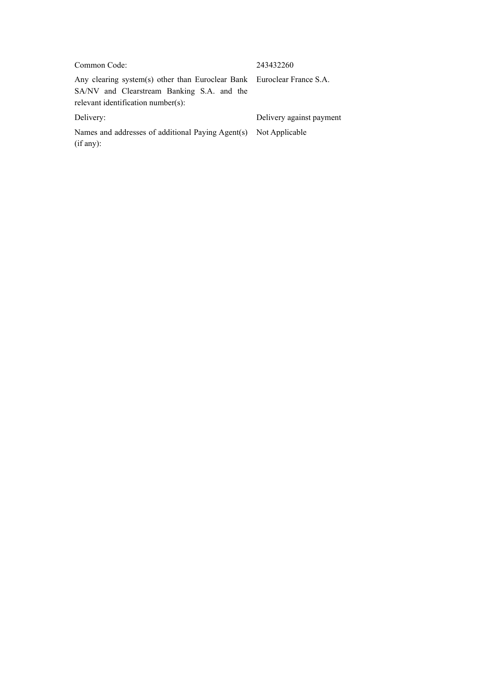# Common Code: 243432260

Any clearing system(s) other than Euroclear Bank Euroclear France S.A. SA/NV and Clearstream Banking S.A. and the relevant identification number(s):

Names and addresses of additional Paying Agent(s) Not Applicable (if any):

Delivery: Delivery against payment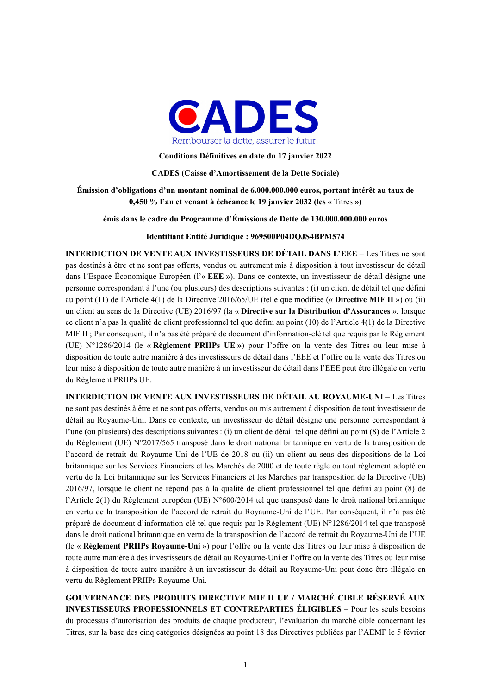

**Conditions Définitives en date du 17 janvier 2022** 

**CADES (Caisse d'Amortissement de la Dette Sociale)** 

**Émission d'obligations d'un montant nominal de 6.000.000.000 euros, portant intérêt au taux de 0,450 % l'an et venant à échéance le 19 janvier 2032 (les «** Titres **»)** 

**émis dans le cadre du Programme d'Émissions de Dette de 130.000.000.000 euros** 

**Identifiant Entité Juridique : 969500P04DQJS4BPM574** 

**INTERDICTION DE VENTE AUX INVESTISSEURS DE DÉTAIL DANS L'EEE** – Les Titres ne sont pas destinés à être et ne sont pas offerts, vendus ou autrement mis à disposition à tout investisseur de détail dans l'Espace Économique Européen (l'« **EEE** »). Dans ce contexte, un investisseur de détail désigne une personne correspondant à l'une (ou plusieurs) des descriptions suivantes : (i) un client de détail tel que défini au point (11) de l'Article 4(1) de la Directive 2016/65/UE (telle que modifiée (« **Directive MIF II** ») ou (ii) un client au sens de la Directive (UE) 2016/97 (la « **Directive sur la Distribution d'Assurances** », lorsque ce client n'a pas la qualité de client professionnel tel que défini au point (10) de l'Article 4(1) de la Directive MIF II ; Par conséquent, il n'a pas été préparé de document d'information-clé tel que requis par le Règlement (UE) N°1286/2014 (le « **Règlement PRIIPs UE »**) pour l'offre ou la vente des Titres ou leur mise à disposition de toute autre manière à des investisseurs de détail dans l'EEE et l'offre ou la vente des Titres ou leur mise à disposition de toute autre manière à un investisseur de détail dans l'EEE peut être illégale en vertu du Règlement PRIIPs UE.

**INTERDICTION DE VENTE AUX INVESTISSEURS DE DÉTAIL AU ROYAUME-UNI** – Les Titres ne sont pas destinés à être et ne sont pas offerts, vendus ou mis autrement à disposition de tout investisseur de détail au Royaume-Uni. Dans ce contexte, un investisseur de détail désigne une personne correspondant à l'une (ou plusieurs) des descriptions suivantes : (i) un client de détail tel que défini au point (8) de l'Article 2 du Règlement (UE) N°2017/565 transposé dans le droit national britannique en vertu de la transposition de l'accord de retrait du Royaume-Uni de l'UE de 2018 ou (ii) un client au sens des dispositions de la Loi britannique sur les Services Financiers et les Marchés de 2000 et de toute règle ou tout règlement adopté en vertu de la Loi britannique sur les Services Financiers et les Marchés par transposition de la Directive (UE) 2016/97, lorsque le client ne répond pas à la qualité de client professionnel tel que défini au point (8) de l'Article 2(1) du Règlement européen (UE) N°600/2014 tel que transposé dans le droit national britannique en vertu de la transposition de l'accord de retrait du Royaume-Uni de l'UE. Par conséquent, il n'a pas été préparé de document d'information-clé tel que requis par le Règlement (UE) N°1286/2014 tel que transposé dans le droit national britannique en vertu de la transposition de l'accord de retrait du Royaume-Uni de l'UE (le « **Règlement PRIIPs Royaume-Uni** ») pour l'offre ou la vente des Titres ou leur mise à disposition de toute autre manière à des investisseurs de détail au Royaume-Uni et l'offre ou la vente des Titres ou leur mise à disposition de toute autre manière à un investisseur de détail au Royaume-Uni peut donc être illégale en vertu du Règlement PRIIPs Royaume-Uni.

**GOUVERNANCE DES PRODUITS DIRECTIVE MIF II UE / MARCHÉ CIBLE RÉSERVÉ AUX INVESTISSEURS PROFESSIONNELS ET CONTREPARTIES ÉLIGIBLES** – Pour les seuls besoins du processus d'autorisation des produits de chaque producteur, l'évaluation du marché cible concernant les Titres, sur la base des cinq catégories désignées au point 18 des Directives publiées par l'AEMF le 5 février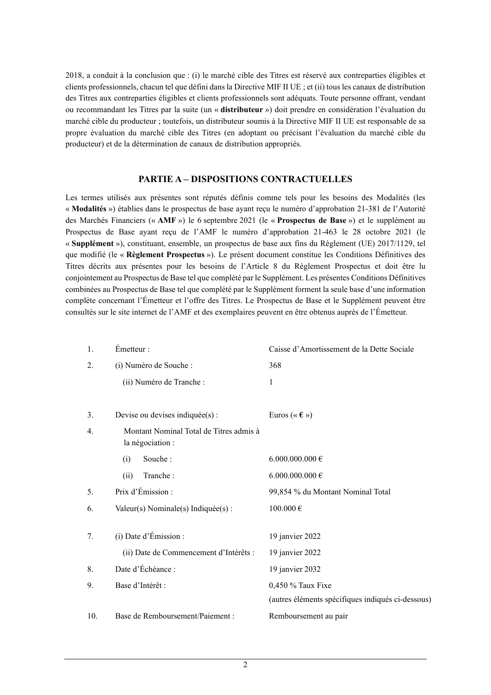2018, a conduit à la conclusion que : (i) le marché cible des Titres est réservé aux contreparties éligibles et clients professionnels, chacun tel que défini dans la Directive MIF II UE ; et (ii) tous les canaux de distribution des Titres aux contreparties éligibles et clients professionnels sont adéquats. Toute personne offrant, vendant ou recommandant les Titres par la suite (un « **distributeur** ») doit prendre en considération l'évaluation du marché cible du producteur ; toutefois, un distributeur soumis à la Directive MIF II UE est responsable de sa propre évaluation du marché cible des Titres (en adoptant ou précisant l'évaluation du marché cible du producteur) et de la détermination de canaux de distribution appropriés.

# **PARTIE A – DISPOSITIONS CONTRACTUELLES**

Les termes utilisés aux présentes sont réputés définis comme tels pour les besoins des Modalités (les « **Modalités** ») établies dans le prospectus de base ayant reçu le numéro d'approbation 21-381 de l'Autorité des Marchés Financiers (« **AMF** ») le 6 septembre 2021 (le « **Prospectus de Base** ») et le supplément au Prospectus de Base ayant reçu de l'AMF le numéro d'approbation 21-463 le 28 octobre 2021 (le « **Supplément** »), constituant, ensemble, un prospectus de base aux fins du Règlement (UE) 2017/1129, tel que modifié (le « **Règlement Prospectus** »). Le présent document constitue les Conditions Définitives des Titres décrits aux présentes pour les besoins de l'Article 8 du Règlement Prospectus et doit être lu conjointement au Prospectus de Base tel que complété par le Supplément. Les présentes Conditions Définitives combinées au Prospectus de Base tel que complété par le Supplément forment la seule base d'une information complète concernant l'Émetteur et l'offre des Titres. Le Prospectus de Base et le Supplément peuvent être consultés sur le site internet de l'AMF et des exemplaires peuvent en être obtenus auprès de l'Émetteur.

| 1.  | Émetteur :                                                  | Caisse d'Amortissement de la Dette Sociale        |
|-----|-------------------------------------------------------------|---------------------------------------------------|
| 2.  | (i) Numéro de Souche :                                      | 368                                               |
|     | (ii) Numéro de Tranche :                                    | $\mathbf{1}$                                      |
|     |                                                             |                                                   |
| 3.  | Devise ou devises indiquée(s) :                             | Euros (« $\epsilon$ »)                            |
| 4.  | Montant Nominal Total de Titres admis à<br>la négociation : |                                                   |
|     | Souche:<br>(i)                                              | 6.000.000.000 €                                   |
|     | Tranche:<br>(ii)                                            | 6.000.000.000 €                                   |
| 5.  | Prix d'Émission :                                           | 99,854 % du Montant Nominal Total                 |
| 6.  | Valeur(s) Nominale(s) Indiquée(s) :                         | $100.000\,\mathrm{E}$                             |
|     |                                                             |                                                   |
| 7.  | (i) Date d'Émission :                                       | 19 janvier 2022                                   |
|     | (ii) Date de Commencement d'Intérêts :                      | 19 janvier 2022                                   |
| 8.  | Date d'Échéance :                                           | 19 janvier 2032                                   |
| 9.  | Base d'Intérêt :                                            | 0,450 % Taux Fixe                                 |
|     |                                                             | (autres éléments spécifiques indiqués ci-dessous) |
| 10. | Base de Remboursement/Paiement:                             | Remboursement au pair                             |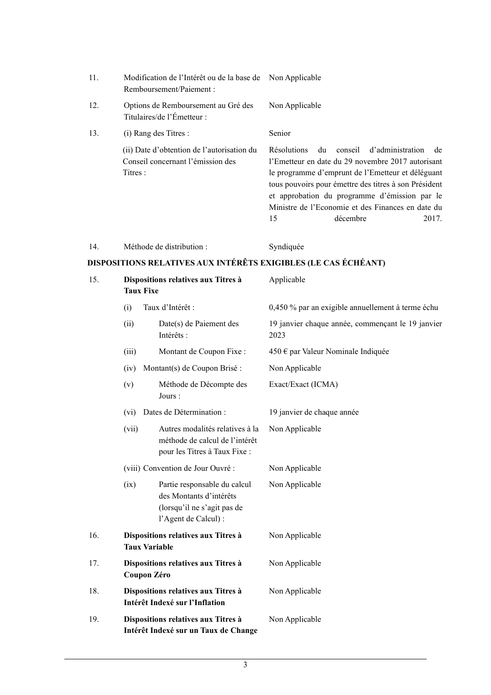| 11. | Modification de l'Intérêt ou de la base de Non Applicable<br>Remboursement/Paiement:       |                                                                                                                                                                                                                                                                                                                                                                |
|-----|--------------------------------------------------------------------------------------------|----------------------------------------------------------------------------------------------------------------------------------------------------------------------------------------------------------------------------------------------------------------------------------------------------------------------------------------------------------------|
| 12. | Options de Remboursement au Gré des<br>Titulaires/de l'Émetteur :                          | Non Applicable                                                                                                                                                                                                                                                                                                                                                 |
| 13. | (i) Rang des Titres :                                                                      | Senior                                                                                                                                                                                                                                                                                                                                                         |
|     | (ii) Date d'obtention de l'autorisation du<br>Conseil concernant l'émission des<br>Titres: | du<br>conseil d'administration<br><b>Résolutions</b><br>de<br>l'Emetteur en date du 29 novembre 2017 autorisant<br>le programme d'emprunt de l'Emetteur et déléguant<br>tous pouvoirs pour émettre des titres à son Président<br>et approbation du programme d'émission par le<br>Ministre de l'Economie et des Finances en date du<br>15<br>2017.<br>décembre |

| 14. |  | Méthode de distribution : |  |
|-----|--|---------------------------|--|
|-----|--|---------------------------|--|

Syndiquée

# **DISPOSITIONS RELATIVES AUX INTÉRÊTS EXIGIBLES (LE CAS ÉCHÉANT)**

| 15. | Dispositions relatives aux Titres à<br><b>Taux Fixe</b>                     |                                                                                                                | Applicable                                                |  |
|-----|-----------------------------------------------------------------------------|----------------------------------------------------------------------------------------------------------------|-----------------------------------------------------------|--|
|     | (i)                                                                         | Taux d'Intérêt :                                                                                               | 0,450 % par an exigible annuellement à terme échu         |  |
|     | (ii)                                                                        | Date(s) de Paiement des<br>Intérêts :                                                                          | 19 janvier chaque année, commençant le 19 janvier<br>2023 |  |
|     | (iii)                                                                       | Montant de Coupon Fixe :                                                                                       | 450 € par Valeur Nominale Indiquée                        |  |
|     | (iv)                                                                        | Montant(s) de Coupon Brisé :                                                                                   | Non Applicable                                            |  |
|     | (v)                                                                         | Méthode de Décompte des<br>Jours:                                                                              | Exact/Exact (ICMA)                                        |  |
|     | (vi)                                                                        | Dates de Détermination :                                                                                       | 19 janvier de chaque année                                |  |
|     | (vii)                                                                       | Autres modalités relatives à la<br>méthode de calcul de l'intérêt<br>pour les Titres à Taux Fixe :             | Non Applicable                                            |  |
|     |                                                                             | (viii) Convention de Jour Ouvré :                                                                              | Non Applicable                                            |  |
|     | (ix)                                                                        | Partie responsable du calcul<br>des Montants d'intérêts<br>(lorsqu'il ne s'agit pas de<br>l'Agent de Calcul) : | Non Applicable                                            |  |
| 16. | <b>Taux Variable</b>                                                        | Dispositions relatives aux Titres à                                                                            | Non Applicable                                            |  |
| 17. | Dispositions relatives aux Titres à<br>Coupon Zéro                          |                                                                                                                | Non Applicable                                            |  |
| 18. | Dispositions relatives aux Titres à<br>Intérêt Indexé sur l'Inflation       |                                                                                                                | Non Applicable                                            |  |
| 19. | Dispositions relatives aux Titres à<br>Intérêt Indexé sur un Taux de Change |                                                                                                                | Non Applicable                                            |  |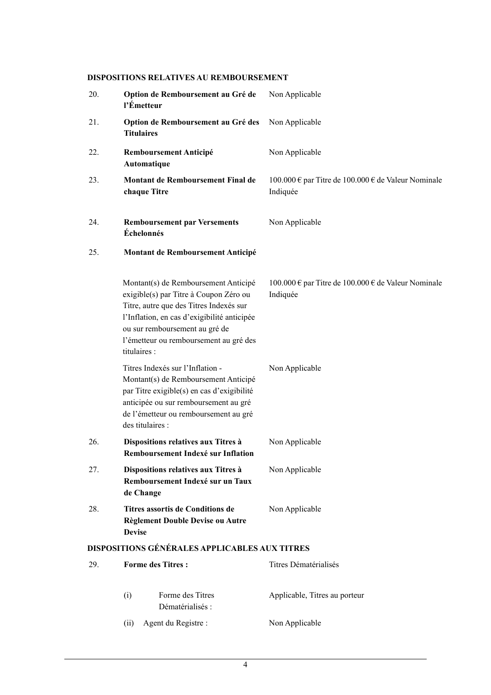# **DISPOSITIONS RELATIVES AU REMBOURSEMENT**

| 20. | Option de Remboursement au Gré de<br>l'Émetteur                                                                                                                                                                                                                      | Non Applicable                                                  |
|-----|----------------------------------------------------------------------------------------------------------------------------------------------------------------------------------------------------------------------------------------------------------------------|-----------------------------------------------------------------|
| 21. | Option de Remboursement au Gré des<br><b>Titulaires</b>                                                                                                                                                                                                              | Non Applicable                                                  |
| 22. | <b>Remboursement Anticipé</b><br>Automatique                                                                                                                                                                                                                         | Non Applicable                                                  |
| 23. | Montant de Remboursement Final de<br>chaque Titre                                                                                                                                                                                                                    | 100.000 € par Titre de 100.000 € de Valeur Nominale<br>Indiquée |
| 24. | <b>Remboursement par Versements</b><br>Échelonnés                                                                                                                                                                                                                    | Non Applicable                                                  |
| 25. | Montant de Remboursement Anticipé                                                                                                                                                                                                                                    |                                                                 |
|     | Montant(s) de Remboursement Anticipé<br>exigible(s) par Titre à Coupon Zéro ou<br>Titre, autre que des Titres Indexés sur<br>l'Inflation, en cas d'exigibilité anticipée<br>ou sur remboursement au gré de<br>l'émetteur ou remboursement au gré des<br>titulaires : | 100.000 € par Titre de 100.000 € de Valeur Nominale<br>Indiquée |
|     | Titres Indexés sur l'Inflation -<br>Montant(s) de Remboursement Anticipé<br>par Titre exigible(s) en cas d'exigibilité<br>anticipée ou sur remboursement au gré<br>de l'émetteur ou remboursement au gré<br>des titulaires :                                         | Non Applicable                                                  |
| 26. | Dispositions relatives aux Titres à<br>Remboursement Indexé sur Inflation                                                                                                                                                                                            | Non Applicable                                                  |
| 27. | Dispositions relatives aux Titres à<br>Remboursement Indexé sur un Taux<br>de Change                                                                                                                                                                                 | Non Applicable                                                  |
| 28. | Titres assortis de Conditions de<br>Règlement Double Devise ou Autre<br><b>Devise</b>                                                                                                                                                                                | Non Applicable                                                  |
|     | <b>DISPOSITIONS GÉNÉRALES APPLICABLES AUX TITRES</b>                                                                                                                                                                                                                 |                                                                 |
| 29. | <b>Forme des Titres:</b>                                                                                                                                                                                                                                             | Titres Dématérialisés                                           |
|     | Forme des Titres<br>(i)                                                                                                                                                                                                                                              | Applicable, Titres au porteur                                   |

(ii) Agent du Registre : Non Applicable

Dématérialisés :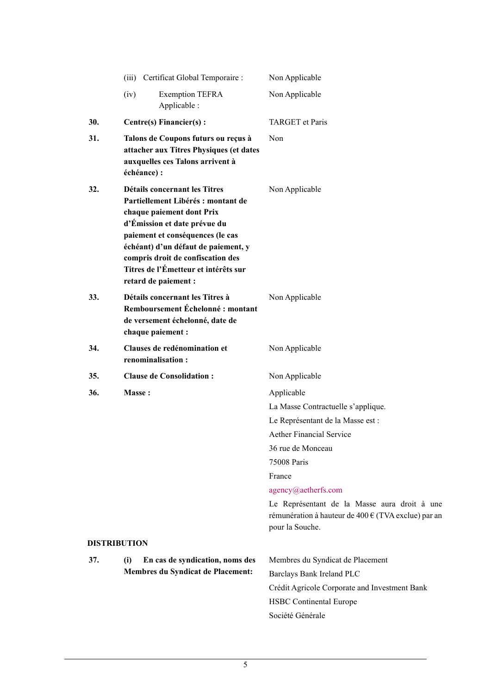|     | (iii) Certificat Global Temporaire :                                                                                                                                                                                                                                                                             | Non Applicable                                                                                                         |
|-----|------------------------------------------------------------------------------------------------------------------------------------------------------------------------------------------------------------------------------------------------------------------------------------------------------------------|------------------------------------------------------------------------------------------------------------------------|
|     | <b>Exemption TEFRA</b><br>(iv)<br>Applicable :                                                                                                                                                                                                                                                                   | Non Applicable                                                                                                         |
| 30. | Centre(s) Financier(s):                                                                                                                                                                                                                                                                                          | <b>TARGET</b> et Paris                                                                                                 |
| 31. | Talons de Coupons futurs ou reçus à<br>attacher aux Titres Physiques (et dates<br>auxquelles ces Talons arrivent à<br>échéance) :                                                                                                                                                                                | Non                                                                                                                    |
| 32. | Détails concernant les Titres<br>Partiellement Libérés : montant de<br>chaque paiement dont Prix<br>d'Émission et date prévue du<br>paiement et conséquences (le cas<br>échéant) d'un défaut de paiement, y<br>compris droit de confiscation des<br>Titres de l'Émetteur et intérêts sur<br>retard de paiement : | Non Applicable                                                                                                         |
| 33. | Détails concernant les Titres à<br>Remboursement Échelonné: montant<br>de versement échelonné, date de<br>chaque paiement :                                                                                                                                                                                      | Non Applicable                                                                                                         |
| 34. | Clauses de redénomination et<br>renominalisation:                                                                                                                                                                                                                                                                | Non Applicable                                                                                                         |
| 35. | <b>Clause de Consolidation:</b>                                                                                                                                                                                                                                                                                  | Non Applicable                                                                                                         |
| 36. | Masse:                                                                                                                                                                                                                                                                                                           | Applicable                                                                                                             |
|     |                                                                                                                                                                                                                                                                                                                  | La Masse Contractuelle s'applique.                                                                                     |
|     |                                                                                                                                                                                                                                                                                                                  | Le Représentant de la Masse est :                                                                                      |
|     |                                                                                                                                                                                                                                                                                                                  | <b>Aether Financial Service</b>                                                                                        |
|     |                                                                                                                                                                                                                                                                                                                  | 36 rue de Monceau                                                                                                      |
|     |                                                                                                                                                                                                                                                                                                                  | 75008 Paris                                                                                                            |
|     |                                                                                                                                                                                                                                                                                                                  | France                                                                                                                 |
|     |                                                                                                                                                                                                                                                                                                                  | agency@aetherfs.com                                                                                                    |
|     |                                                                                                                                                                                                                                                                                                                  | Le Représentant de la Masse aura droit à une<br>rémunération à hauteur de 400 € (TVA exclue) par an<br>pour la Souche. |
|     | <b>DISTRIBUTION</b>                                                                                                                                                                                                                                                                                              |                                                                                                                        |
| 37. | En cas de syndication, noms des<br>(i)                                                                                                                                                                                                                                                                           | Membres du Syndicat de Placement                                                                                       |
|     | <b>Membres du Syndicat de Placement:</b>                                                                                                                                                                                                                                                                         | Barclays Bank Ireland PLC                                                                                              |
|     |                                                                                                                                                                                                                                                                                                                  | Crédit Agricole Corporate and Investment Bank                                                                          |
|     |                                                                                                                                                                                                                                                                                                                  | <b>HSBC</b> Continental Europe                                                                                         |
|     |                                                                                                                                                                                                                                                                                                                  | Société Générale                                                                                                       |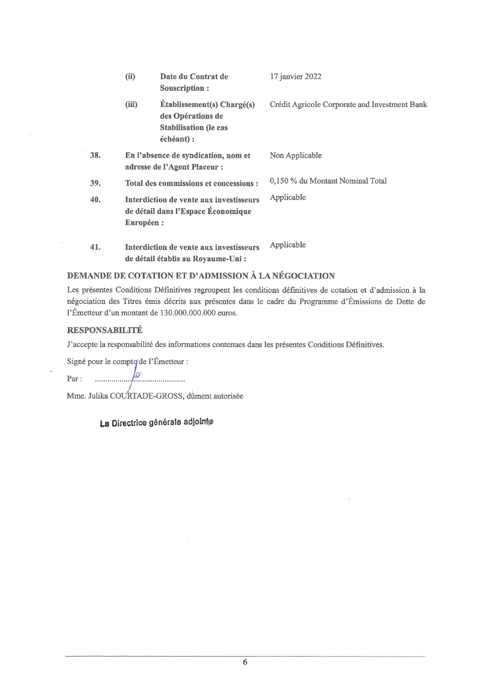|     | (ii)<br>Date du Contrat de<br><b>Souscription:</b>                                                            | 17 janvier 2022                               |
|-----|---------------------------------------------------------------------------------------------------------------|-----------------------------------------------|
|     | <b>Établissement(s)</b> Chargé(s)<br>(iii)<br>des Opérations de<br><b>Stabilisation (le cas</b><br>échéant) : | Crédit Agricole Corporate and Investment Bank |
| 38. | En l'absence de syndication, nom et<br>adresse de l'Agent Placeur :                                           | Non Applicable                                |
| 39. | Total des commissions et concessions :                                                                        | 0,150 % du Montant Nominal Total              |
| 40. | Interdiction de vente aux investisseurs<br>de détail dans l'Espace Économique<br>Européen :                   | Applicable                                    |
| 41. | Interdiction de vente aux investisseurs<br>de détail établis au Royaume-Uni :                                 | Applicable                                    |

# DEMANDE DE COTATION ET D'ADMISSION À LA NÉGOCIATION

Les présentes Conditions Définitives regroupent les conditions définitives de cotation et d'admission à la négociation des Titres émis décrits aux présentes dans le cadre du Programme d'Émissions de Dette de l'Émetteur d'un montant de 130.000.000.000 euros.

# **RESPONSABILITÉ**

J'accepte la responsabilité des informations contenues dans les présentes Conditions Définitives.

Signé pour le compte de l'Émetteur :

lo Par: . . . . . . . . . . . . . . . . . 

Mme. Julika COURTADE-GROSS, dûment autorisée

# La Directrice générale adjointe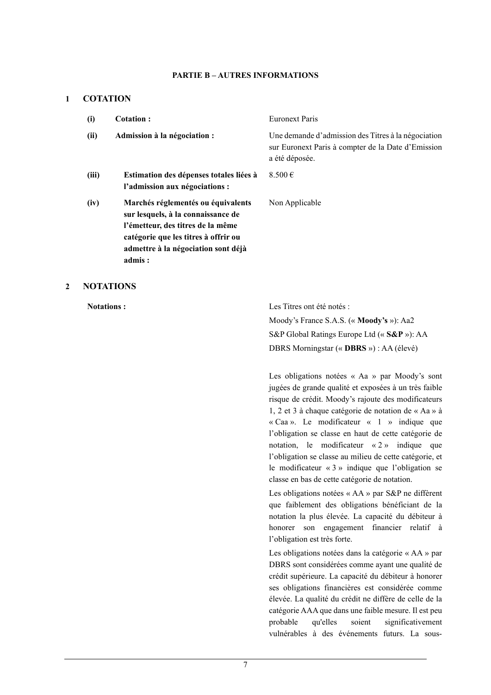### **PARTIE B – AUTRES INFORMATIONS**

### **1 COTATION**

| (i)   | Cotation:                                                                                                                                                                                              | <b>Euronext Paris</b>                                                                                                       |
|-------|--------------------------------------------------------------------------------------------------------------------------------------------------------------------------------------------------------|-----------------------------------------------------------------------------------------------------------------------------|
| (ii)  | Admission à la négociation :                                                                                                                                                                           | Une demande d'admission des Titres à la négociation<br>sur Euronext Paris à compter de la Date d'Emission<br>a été déposée. |
| (iii) | Estimation des dépenses totales liées à<br>l'admission aux négociations :                                                                                                                              | 8.500 $\in$                                                                                                                 |
| (iv)  | Marchés réglementés ou équivalents<br>sur lesquels, à la connaissance de<br>l'émetteur, des titres de la même<br>catégorie que les titres à offrir ou<br>admettre à la négociation sont déjà<br>admis: | Non Applicable                                                                                                              |

# **2 NOTATIONS**

**Notations :** Les Titres ont été notés : Moody's France S.A.S. (« **Moody's** »): Aa2 S&P Global Ratings Europe Ltd (« **S&P** »): AA DBRS Morningstar (« **DBRS** ») : AA (élevé)

> Les obligations notées « Aa » par Moody's sont jugées de grande qualité et exposées à un très faible risque de crédit. Moody's rajoute des modificateurs 1, 2 et 3 à chaque catégorie de notation de « Aa » à « Caa ». Le modificateur « 1 » indique que l'obligation se classe en haut de cette catégorie de notation, le modificateur « 2 » indique que l'obligation se classe au milieu de cette catégorie, et le modificateur « 3 » indique que l'obligation se classe en bas de cette catégorie de notation.

> Les obligations notées « AA » par S&P ne diffèrent que faiblement des obligations bénéficiant de la notation la plus élevée. La capacité du débiteur à honorer son engagement financier relatif à l'obligation est très forte.

> Les obligations notées dans la catégorie « AA » par DBRS sont considérées comme ayant une qualité de crédit supérieure. La capacité du débiteur à honorer ses obligations financières est considérée comme élevée. La qualité du crédit ne diffère de celle de la catégorie AAA que dans une faible mesure. Il est peu probable qu'elles soient significativement vulnérables à des événements futurs. La sous-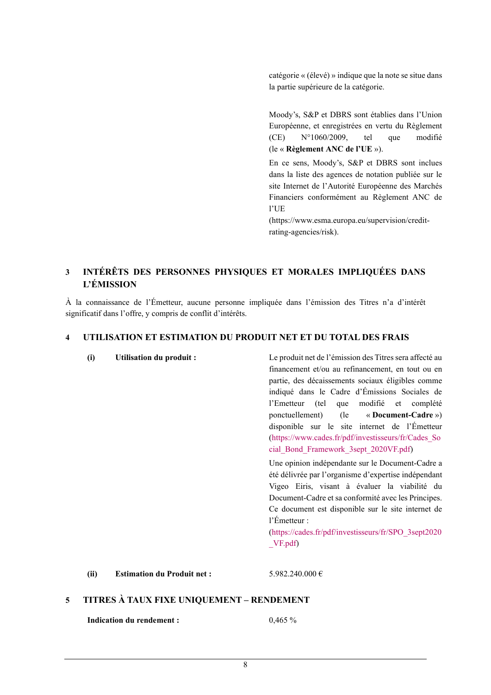catégorie « (élevé) » indique que la note se situe dans la partie supérieure de la catégorie.

Moody's, S&P et DBRS sont établies dans l'Union Européenne, et enregistrées en vertu du Règlement (CE) N°1060/2009, tel que modifié (le « **Règlement ANC de l'UE** »).

En ce sens, Moody's, S&P et DBRS sont inclues dans la liste des agences de notation publiée sur le site Internet de l'Autorité Européenne des Marchés Financiers conformément au Règlement ANC de l'UE

(https://www.esma.europa.eu/supervision/creditrating-agencies/risk).

# **3 INTÉRÊTS DES PERSONNES PHYSIQUES ET MORALES IMPLIQUÉES DANS L'ÉMISSION**

À la connaissance de l'Émetteur, aucune personne impliquée dans l'émission des Titres n'a d'intérêt significatif dans l'offre, y compris de conflit d'intérêts.

**(i) Utilisation du produit :** Le produit net de l'émission des Titres sera affecté au

# **4 UTILISATION ET ESTIMATION DU PRODUIT NET ET DU TOTAL DES FRAIS**

|   |                                           |                                    | financement et/ou au refinancement, en tout ou en<br>partie, des décaissements sociaux éligibles comme<br>indiqué dans le Cadre d'Émissions Sociales de<br>l'Emetteur (tel que modifié et complété<br>ponctuellement) (le « Document-Cadre »)<br>disponible sur le site internet de l'Émetteur<br>(https://www.cades.fr/pdf/investisseurs/fr/Cades So<br>cial_Bond_Framework_3sept_2020VF.pdf) |  |
|---|-------------------------------------------|------------------------------------|------------------------------------------------------------------------------------------------------------------------------------------------------------------------------------------------------------------------------------------------------------------------------------------------------------------------------------------------------------------------------------------------|--|
|   |                                           |                                    | Une opinion indépendante sur le Document-Cadre a<br>été délivrée par l'organisme d'expertise indépendant<br>Vigeo Eiris, visant à évaluer la viabilité du<br>Document-Cadre et sa conformité avec les Principes.<br>Ce document est disponible sur le site internet de<br>$l'$ Emetteur :<br>(https://cades.fr/pdf/investisseurs/fr/SPO_3sept2020<br>VF.pdf)                                   |  |
|   | (ii)                                      | <b>Estimation du Produit net :</b> | 5.982.240.000 €                                                                                                                                                                                                                                                                                                                                                                                |  |
| 5 | TITRES À TAUX FIXE UNIQUEMENT - RENDEMENT |                                    |                                                                                                                                                                                                                                                                                                                                                                                                |  |
|   |                                           | <b>Indication du rendement:</b>    | 0,465%                                                                                                                                                                                                                                                                                                                                                                                         |  |